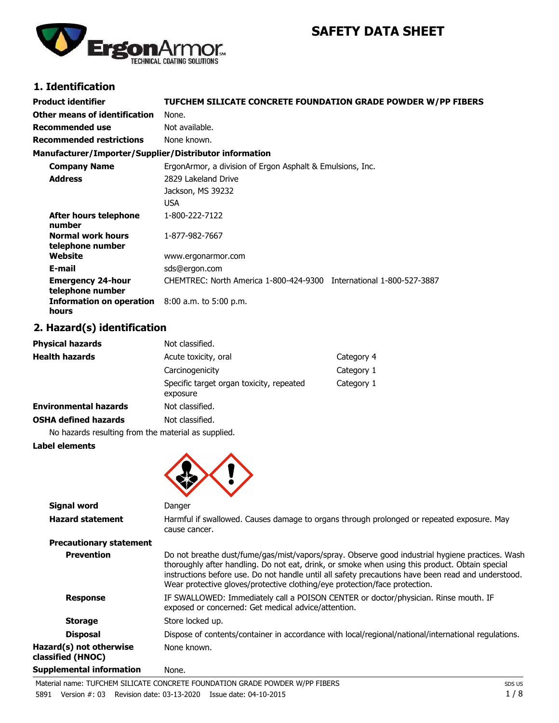# **SAFETY DATA SHEET**



# **1. Identification**

| <b>Product identifier</b>                              | TUFCHEM SILICATE CONCRETE FOUNDATION GRADE POWDER W/PP FIBERS       |
|--------------------------------------------------------|---------------------------------------------------------------------|
| Other means of identification                          | None.                                                               |
| <b>Recommended use</b>                                 | Not available.                                                      |
| <b>Recommended restrictions</b>                        | None known.                                                         |
| Manufacturer/Importer/Supplier/Distributor information |                                                                     |
| <b>Company Name</b>                                    | ErgonArmor, a division of Ergon Asphalt & Emulsions, Inc.           |
| <b>Address</b>                                         | 2829 Lakeland Drive                                                 |
|                                                        | Jackson, MS 39232                                                   |
|                                                        | <b>USA</b>                                                          |
| <b>After hours telephone</b><br>number                 | 1-800-222-7122                                                      |
| Normal work hours<br>telephone number                  | 1-877-982-7667                                                      |
| Website                                                | www.ergonarmor.com                                                  |
| E-mail                                                 | sds@ergon.com                                                       |
| <b>Emergency 24-hour</b><br>telephone number           | CHEMTREC: North America 1-800-424-9300 International 1-800-527-3887 |
| Information on operation<br>hours                      | 8:00 a.m. to 5:00 p.m.                                              |

## **2. Hazard(s) identification**

| <b>Physical hazards</b>      | Not classified.                                      |            |
|------------------------------|------------------------------------------------------|------------|
| <b>Health hazards</b>        | Acute toxicity, oral                                 | Category 4 |
|                              | Carcinogenicity                                      | Category 1 |
|                              | Specific target organ toxicity, repeated<br>exposure | Category 1 |
| <b>Environmental hazards</b> | Not classified.                                      |            |
| <b>OSHA defined hazards</b>  | Not classified.                                      |            |
|                              |                                                      |            |

No hazards resulting from the material as supplied.

#### **Label elements**



| Signal word                                  | Danger                                                                                                                                                                                                                                                                                                                                                                                |
|----------------------------------------------|---------------------------------------------------------------------------------------------------------------------------------------------------------------------------------------------------------------------------------------------------------------------------------------------------------------------------------------------------------------------------------------|
| <b>Hazard statement</b>                      | Harmful if swallowed. Causes damage to organs through prolonged or repeated exposure. May<br>cause cancer.                                                                                                                                                                                                                                                                            |
| <b>Precautionary statement</b>               |                                                                                                                                                                                                                                                                                                                                                                                       |
| <b>Prevention</b>                            | Do not breathe dust/fume/gas/mist/vapors/spray. Observe good industrial hygiene practices. Wash<br>thoroughly after handling. Do not eat, drink, or smoke when using this product. Obtain special<br>instructions before use. Do not handle until all safety precautions have been read and understood.<br>Wear protective gloves/protective clothing/eye protection/face protection. |
| <b>Response</b>                              | IF SWALLOWED: Immediately call a POISON CENTER or doctor/physician. Rinse mouth. IF<br>exposed or concerned: Get medical advice/attention.                                                                                                                                                                                                                                            |
| <b>Storage</b>                               | Store locked up.                                                                                                                                                                                                                                                                                                                                                                      |
| <b>Disposal</b>                              | Dispose of contents/container in accordance with local/regional/national/international regulations.                                                                                                                                                                                                                                                                                   |
| Hazard(s) not otherwise<br>classified (HNOC) | None known.                                                                                                                                                                                                                                                                                                                                                                           |
| <b>Supplemental information</b>              | None.                                                                                                                                                                                                                                                                                                                                                                                 |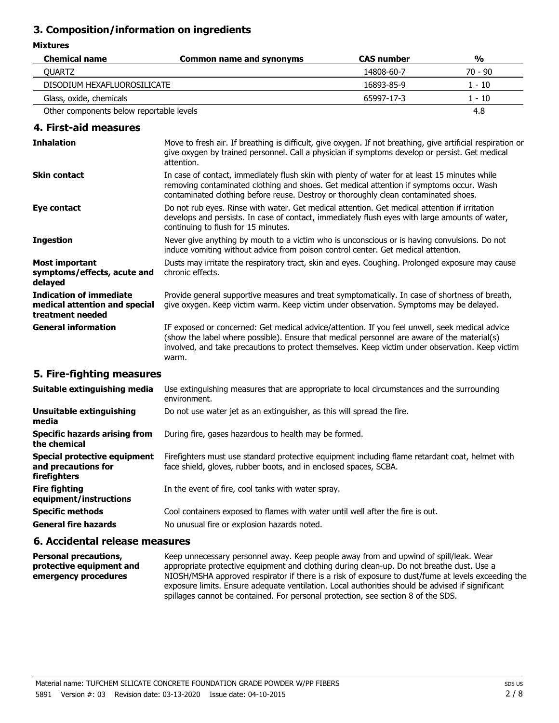## **3. Composition/information on ingredients**

#### **Mixtures**

| <b>Chemical name</b>                     | <b>Common name and synonyms</b> | <b>CAS number</b> | $\frac{0}{0}$ |
|------------------------------------------|---------------------------------|-------------------|---------------|
| <b>OUARTZ</b>                            |                                 | 14808-60-7        | 70 - 90       |
| DISODIUM HEXAFLUOROSILICATE              |                                 | 16893-85-9        | 1 - 10        |
| Glass, oxide, chemicals                  |                                 | 65997-17-3        | $1 - 10$      |
| Other components below reportable levels |                                 |                   | 4.8           |

## **4. First-aid measures**

| <b>Inhalation</b>                                                                   | Move to fresh air. If breathing is difficult, give oxygen. If not breathing, give artificial respiration or<br>give oxygen by trained personnel. Call a physician if symptoms develop or persist. Get medical<br>attention.                                                                                |
|-------------------------------------------------------------------------------------|------------------------------------------------------------------------------------------------------------------------------------------------------------------------------------------------------------------------------------------------------------------------------------------------------------|
| <b>Skin contact</b>                                                                 | In case of contact, immediately flush skin with plenty of water for at least 15 minutes while<br>removing contaminated clothing and shoes. Get medical attention if symptoms occur. Wash<br>contaminated clothing before reuse. Destroy or thoroughly clean contaminated shoes.                            |
| Eye contact                                                                         | Do not rub eyes. Rinse with water. Get medical attention. Get medical attention if irritation<br>develops and persists. In case of contact, immediately flush eyes with large amounts of water,<br>continuing to flush for 15 minutes.                                                                     |
| <b>Ingestion</b>                                                                    | Never give anything by mouth to a victim who is unconscious or is having convulsions. Do not<br>induce vomiting without advice from poison control center. Get medical attention.                                                                                                                          |
| <b>Most important</b><br>symptoms/effects, acute and<br>delayed                     | Dusts may irritate the respiratory tract, skin and eyes. Coughing. Prolonged exposure may cause<br>chronic effects.                                                                                                                                                                                        |
| <b>Indication of immediate</b><br>medical attention and special<br>treatment needed | Provide general supportive measures and treat symptomatically. In case of shortness of breath,<br>give oxygen. Keep victim warm. Keep victim under observation. Symptoms may be delayed.                                                                                                                   |
| <b>General information</b>                                                          | IF exposed or concerned: Get medical advice/attention. If you feel unwell, seek medical advice<br>(show the label where possible). Ensure that medical personnel are aware of the material(s)<br>involved, and take precautions to protect themselves. Keep victim under observation. Keep victim<br>warm. |

## **5. Fire-fighting measures**

| Suitable extinguishing media                                               | Use extinguishing measures that are appropriate to local circumstances and the surrounding<br>environment.                                                          |
|----------------------------------------------------------------------------|---------------------------------------------------------------------------------------------------------------------------------------------------------------------|
| Unsuitable extinguishing<br>media                                          | Do not use water jet as an extinguisher, as this will spread the fire.                                                                                              |
| Specific hazards arising from<br>the chemical                              | During fire, gases hazardous to health may be formed.                                                                                                               |
| Special protective equipment<br>and precautions for<br><b>firefighters</b> | Firefighters must use standard protective equipment including flame retardant coat, helmet with<br>face shield, gloves, rubber boots, and in enclosed spaces, SCBA. |
| <b>Fire fighting</b><br>equipment/instructions                             | In the event of fire, cool tanks with water spray.                                                                                                                  |
| <b>Specific methods</b><br><b>General fire hazards</b>                     | Cool containers exposed to flames with water until well after the fire is out.<br>No unusual fire or explosion hazards noted.                                       |

## **6. Accidental release measures**

Keep unnecessary personnel away. Keep people away from and upwind of spill/leak. Wear appropriate protective equipment and clothing during clean-up. Do not breathe dust. Use a NIOSH/MSHA approved respirator if there is a risk of exposure to dust/fume at levels exceeding the exposure limits. Ensure adequate ventilation. Local authorities should be advised if significant spillages cannot be contained. For personal protection, see section 8 of the SDS. **Personal precautions, protective equipment and emergency procedures**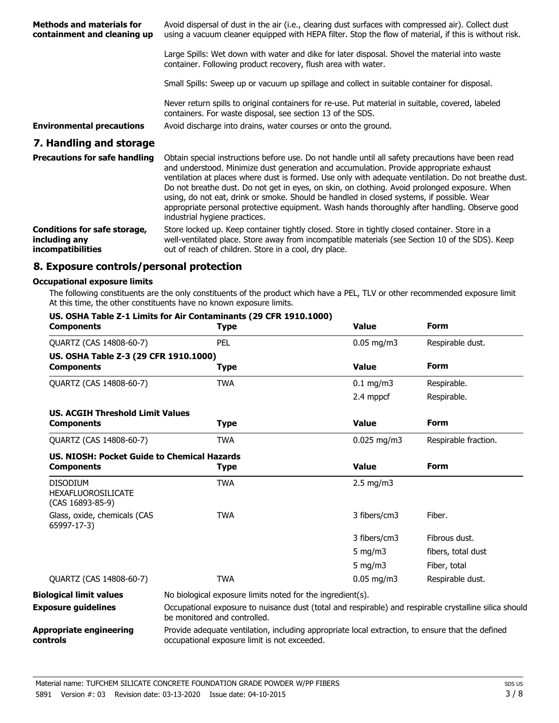| <b>Methods and materials for</b><br>containment and cleaning up | Avoid dispersal of dust in the air (i.e., clearing dust surfaces with compressed air). Collect dust<br>using a vacuum cleaner equipped with HEPA filter. Stop the flow of material, if this is without risk.                                                                                                                                                                                                                                                                                                                                                                                                                        |
|-----------------------------------------------------------------|-------------------------------------------------------------------------------------------------------------------------------------------------------------------------------------------------------------------------------------------------------------------------------------------------------------------------------------------------------------------------------------------------------------------------------------------------------------------------------------------------------------------------------------------------------------------------------------------------------------------------------------|
|                                                                 | Large Spills: Wet down with water and dike for later disposal. Shovel the material into waste<br>container. Following product recovery, flush area with water.                                                                                                                                                                                                                                                                                                                                                                                                                                                                      |
|                                                                 | Small Spills: Sweep up or vacuum up spillage and collect in suitable container for disposal.                                                                                                                                                                                                                                                                                                                                                                                                                                                                                                                                        |
|                                                                 | Never return spills to original containers for re-use. Put material in suitable, covered, labeled<br>containers. For waste disposal, see section 13 of the SDS.                                                                                                                                                                                                                                                                                                                                                                                                                                                                     |
| <b>Environmental precautions</b>                                | Avoid discharge into drains, water courses or onto the ground.                                                                                                                                                                                                                                                                                                                                                                                                                                                                                                                                                                      |
| 7. Handling and storage                                         |                                                                                                                                                                                                                                                                                                                                                                                                                                                                                                                                                                                                                                     |
| <b>Precautions for safe handling</b>                            | Obtain special instructions before use. Do not handle until all safety precautions have been read<br>and understood. Minimize dust generation and accumulation. Provide appropriate exhaust<br>ventilation at places where dust is formed. Use only with adequate ventilation. Do not breathe dust.<br>Do not breathe dust. Do not get in eyes, on skin, on clothing. Avoid prolonged exposure. When<br>using, do not eat, drink or smoke. Should be handled in closed systems, if possible. Wear<br>appropriate personal protective equipment. Wash hands thoroughly after handling. Observe good<br>industrial hygiene practices. |
| Conditions for safe storage.                                    | Store locked up. Keep container tightly closed. Store in tightly closed container. Store in a                                                                                                                                                                                                                                                                                                                                                                                                                                                                                                                                       |

Store locked up. Keep container tightly closed. Store in tightly closed container. Store in a well-ventilated place. Store away from incompatible materials (see Section 10 of the SDS). Keep out of reach of children. Store in a cool, dry place. **Conditions for safe storage, including any incompatibilities**

## **8. Exposure controls/personal protection**

#### **Occupational exposure limits**

The following constituents are the only constituents of the product which have a PEL, TLV or other recommended exposure limit. At this time, the other constituents have no known exposure limits.

| <b>Components</b>                                                | <b>Type</b>                                                                                                                                      | <b>Value</b>           | <b>Form</b>          |
|------------------------------------------------------------------|--------------------------------------------------------------------------------------------------------------------------------------------------|------------------------|----------------------|
| QUARTZ (CAS 14808-60-7)                                          | <b>PEL</b>                                                                                                                                       | $0.05 \,\mathrm{mg/m}$ | Respirable dust.     |
| US. OSHA Table Z-3 (29 CFR 1910.1000)                            |                                                                                                                                                  |                        |                      |
| <b>Components</b>                                                | <b>Type</b>                                                                                                                                      | <b>Value</b>           | <b>Form</b>          |
| QUARTZ (CAS 14808-60-7)                                          | <b>TWA</b>                                                                                                                                       | $0.1$ mg/m3            | Respirable.          |
|                                                                  |                                                                                                                                                  | 2.4 mppcf              | Respirable.          |
| <b>US. ACGIH Threshold Limit Values</b>                          |                                                                                                                                                  |                        |                      |
| <b>Components</b>                                                | <b>Type</b>                                                                                                                                      | <b>Value</b>           | <b>Form</b>          |
| QUARTZ (CAS 14808-60-7)                                          | <b>TWA</b>                                                                                                                                       | $0.025$ mg/m3          | Respirable fraction. |
| US. NIOSH: Pocket Guide to Chemical Hazards                      |                                                                                                                                                  |                        |                      |
| <b>Components</b>                                                | <b>Type</b>                                                                                                                                      | <b>Value</b>           | <b>Form</b>          |
| <b>DISODIUM</b><br><b>HEXAFLUOROSILICATE</b><br>(CAS 16893-85-9) | <b>TWA</b>                                                                                                                                       | $2.5$ mg/m3            |                      |
| Glass, oxide, chemicals (CAS<br>65997-17-3)                      | <b>TWA</b>                                                                                                                                       | 3 fibers/cm3           | Fiber.               |
|                                                                  |                                                                                                                                                  | 3 fibers/cm3           | Fibrous dust.        |
|                                                                  |                                                                                                                                                  | 5 mg/m $3$             | fibers, total dust   |
|                                                                  |                                                                                                                                                  | 5 mg/m $3$             | Fiber, total         |
| QUARTZ (CAS 14808-60-7)                                          | <b>TWA</b>                                                                                                                                       | $0.05 \,\mathrm{mg/m}$ | Respirable dust.     |
| <b>Biological limit values</b>                                   | No biological exposure limits noted for the ingredient(s).                                                                                       |                        |                      |
| <b>Exposure guidelines</b>                                       | Occupational exposure to nuisance dust (total and respirable) and respirable crystalline silica should<br>be monitored and controlled.           |                        |                      |
| <b>Appropriate engineering</b><br>controls                       | Provide adequate ventilation, including appropriate local extraction, to ensure that the defined<br>occupational exposure limit is not exceeded. |                        |                      |

## **US. OSHA Table Z-1 Limits for Air Contaminants (29 CFR 1910.1000)**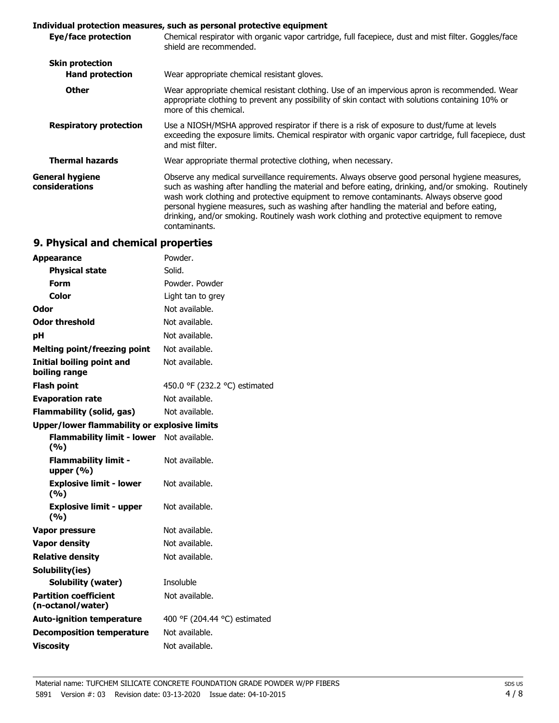## **Individual protection measures, such as personal protective equipment**

| Chemical respirator with organic vapor cartridge, full facepiece, dust and mist filter. Goggles/face<br>shield are recommended.                                                                                                                                                                                                                                                                                                                                                                           |
|-----------------------------------------------------------------------------------------------------------------------------------------------------------------------------------------------------------------------------------------------------------------------------------------------------------------------------------------------------------------------------------------------------------------------------------------------------------------------------------------------------------|
| Wear appropriate chemical resistant gloves.                                                                                                                                                                                                                                                                                                                                                                                                                                                               |
| Wear appropriate chemical resistant clothing. Use of an impervious apron is recommended. Wear<br>appropriate clothing to prevent any possibility of skin contact with solutions containing 10% or<br>more of this chemical.                                                                                                                                                                                                                                                                               |
| Use a NIOSH/MSHA approved respirator if there is a risk of exposure to dust/fume at levels<br>exceeding the exposure limits. Chemical respirator with organic vapor cartridge, full facepiece, dust<br>and mist filter.                                                                                                                                                                                                                                                                                   |
| Wear appropriate thermal protective clothing, when necessary.                                                                                                                                                                                                                                                                                                                                                                                                                                             |
| Observe any medical surveillance requirements. Always observe good personal hygiene measures,<br>such as washing after handling the material and before eating, drinking, and/or smoking. Routinely<br>wash work clothing and protective equipment to remove contaminants. Always observe good<br>personal hygiene measures, such as washing after handling the material and before eating,<br>drinking, and/or smoking. Routinely wash work clothing and protective equipment to remove<br>contaminants. |
|                                                                                                                                                                                                                                                                                                                                                                                                                                                                                                           |

# **9. Physical and chemical properties**

| <b>Appearance</b>                                   | Powder.                       |
|-----------------------------------------------------|-------------------------------|
| <b>Physical state</b>                               | Solid.                        |
| Form                                                | Powder, Powder                |
| Color                                               | Light tan to grey             |
| Odor                                                | Not available.                |
| <b>Odor threshold</b>                               | Not available.                |
| рH                                                  | Not available.                |
| <b>Melting point/freezing point</b>                 | Not available.                |
| <b>Initial boiling point and</b><br>boiling range   | Not available.                |
| <b>Flash point</b>                                  | 450.0 °F (232.2 °C) estimated |
| <b>Evaporation rate</b>                             | Not available.                |
| <b>Flammability (solid, gas)</b>                    | Not available.                |
| <b>Upper/lower flammability or explosive limits</b> |                               |
| Flammability limit - lower Not available.<br>(9/6)  |                               |
| <b>Flammability limit -</b><br>upper $(%)$          | Not available.                |
| <b>Explosive limit - lower</b><br>(%)               | Not available.                |
| <b>Explosive limit - upper</b><br>(%)               | Not available.                |
| Vapor pressure                                      | Not available.                |
| <b>Vapor density</b>                                | Not available.                |
| <b>Relative density</b>                             | Not available.                |
| Solubility(ies)                                     |                               |
| <b>Solubility (water)</b>                           | Insoluble                     |
| <b>Partition coefficient</b><br>(n-octanol/water)   | Not available.                |
| <b>Auto-ignition temperature</b>                    | 400 °F (204.44 °C) estimated  |
| <b>Decomposition temperature</b>                    | Not available.                |
| <b>Viscosity</b>                                    | Not available.                |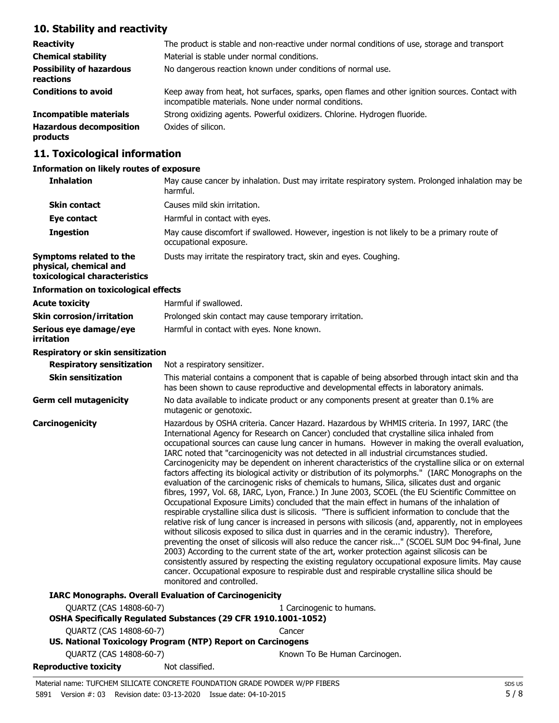# **10. Stability and reactivity**

| <b>Reactivity</b>                            | The product is stable and non-reactive under normal conditions of use, storage and transport                                                             |
|----------------------------------------------|----------------------------------------------------------------------------------------------------------------------------------------------------------|
| <b>Chemical stability</b>                    | Material is stable under normal conditions.                                                                                                              |
| <b>Possibility of hazardous</b><br>reactions | No dangerous reaction known under conditions of normal use.                                                                                              |
| <b>Conditions to avoid</b>                   | Keep away from heat, hot surfaces, sparks, open flames and other ignition sources. Contact with<br>incompatible materials. None under normal conditions. |
| <b>Incompatible materials</b>                | Strong oxidizing agents. Powerful oxidizers. Chlorine. Hydrogen fluoride.                                                                                |
| <b>Hazardous decomposition</b><br>products   | Oxides of silicon.                                                                                                                                       |

# **11. Toxicological information**

#### **Information on likely routes of exposure**

| <b>Inhalation</b>                                                                  | May cause cancer by inhalation. Dust may irritate respiratory system. Prolonged inhalation may be<br>harmful.                                                                                                                                                                                                                                                                                                                                                                                                                                                                                                                                                                                                                                                                                                                                                                                                                                                                                                                                                                                                                                                                                                                                                                                                                                                                                                                                                                                                                                                                                                                                                                 |  |
|------------------------------------------------------------------------------------|-------------------------------------------------------------------------------------------------------------------------------------------------------------------------------------------------------------------------------------------------------------------------------------------------------------------------------------------------------------------------------------------------------------------------------------------------------------------------------------------------------------------------------------------------------------------------------------------------------------------------------------------------------------------------------------------------------------------------------------------------------------------------------------------------------------------------------------------------------------------------------------------------------------------------------------------------------------------------------------------------------------------------------------------------------------------------------------------------------------------------------------------------------------------------------------------------------------------------------------------------------------------------------------------------------------------------------------------------------------------------------------------------------------------------------------------------------------------------------------------------------------------------------------------------------------------------------------------------------------------------------------------------------------------------------|--|
| <b>Skin contact</b>                                                                | Causes mild skin irritation.                                                                                                                                                                                                                                                                                                                                                                                                                                                                                                                                                                                                                                                                                                                                                                                                                                                                                                                                                                                                                                                                                                                                                                                                                                                                                                                                                                                                                                                                                                                                                                                                                                                  |  |
| Eye contact                                                                        | Harmful in contact with eyes.                                                                                                                                                                                                                                                                                                                                                                                                                                                                                                                                                                                                                                                                                                                                                                                                                                                                                                                                                                                                                                                                                                                                                                                                                                                                                                                                                                                                                                                                                                                                                                                                                                                 |  |
| <b>Ingestion</b>                                                                   | May cause discomfort if swallowed. However, ingestion is not likely to be a primary route of<br>occupational exposure.                                                                                                                                                                                                                                                                                                                                                                                                                                                                                                                                                                                                                                                                                                                                                                                                                                                                                                                                                                                                                                                                                                                                                                                                                                                                                                                                                                                                                                                                                                                                                        |  |
| Symptoms related to the<br>physical, chemical and<br>toxicological characteristics | Dusts may irritate the respiratory tract, skin and eyes. Coughing.                                                                                                                                                                                                                                                                                                                                                                                                                                                                                                                                                                                                                                                                                                                                                                                                                                                                                                                                                                                                                                                                                                                                                                                                                                                                                                                                                                                                                                                                                                                                                                                                            |  |
| <b>Information on toxicological effects</b>                                        |                                                                                                                                                                                                                                                                                                                                                                                                                                                                                                                                                                                                                                                                                                                                                                                                                                                                                                                                                                                                                                                                                                                                                                                                                                                                                                                                                                                                                                                                                                                                                                                                                                                                               |  |
| <b>Acute toxicity</b>                                                              | Harmful if swallowed.                                                                                                                                                                                                                                                                                                                                                                                                                                                                                                                                                                                                                                                                                                                                                                                                                                                                                                                                                                                                                                                                                                                                                                                                                                                                                                                                                                                                                                                                                                                                                                                                                                                         |  |
| <b>Skin corrosion/irritation</b>                                                   | Prolonged skin contact may cause temporary irritation.                                                                                                                                                                                                                                                                                                                                                                                                                                                                                                                                                                                                                                                                                                                                                                                                                                                                                                                                                                                                                                                                                                                                                                                                                                                                                                                                                                                                                                                                                                                                                                                                                        |  |
| Serious eye damage/eye<br>irritation                                               | Harmful in contact with eyes. None known.                                                                                                                                                                                                                                                                                                                                                                                                                                                                                                                                                                                                                                                                                                                                                                                                                                                                                                                                                                                                                                                                                                                                                                                                                                                                                                                                                                                                                                                                                                                                                                                                                                     |  |
| Respiratory or skin sensitization                                                  |                                                                                                                                                                                                                                                                                                                                                                                                                                                                                                                                                                                                                                                                                                                                                                                                                                                                                                                                                                                                                                                                                                                                                                                                                                                                                                                                                                                                                                                                                                                                                                                                                                                                               |  |
| <b>Respiratory sensitization</b>                                                   | Not a respiratory sensitizer.                                                                                                                                                                                                                                                                                                                                                                                                                                                                                                                                                                                                                                                                                                                                                                                                                                                                                                                                                                                                                                                                                                                                                                                                                                                                                                                                                                                                                                                                                                                                                                                                                                                 |  |
| <b>Skin sensitization</b>                                                          | This material contains a component that is capable of being absorbed through intact skin and tha<br>has been shown to cause reproductive and developmental effects in laboratory animals.                                                                                                                                                                                                                                                                                                                                                                                                                                                                                                                                                                                                                                                                                                                                                                                                                                                                                                                                                                                                                                                                                                                                                                                                                                                                                                                                                                                                                                                                                     |  |
| <b>Germ cell mutagenicity</b>                                                      | No data available to indicate product or any components present at greater than 0.1% are<br>mutagenic or genotoxic.                                                                                                                                                                                                                                                                                                                                                                                                                                                                                                                                                                                                                                                                                                                                                                                                                                                                                                                                                                                                                                                                                                                                                                                                                                                                                                                                                                                                                                                                                                                                                           |  |
| Carcinogenicity                                                                    | Hazardous by OSHA criteria. Cancer Hazard. Hazardous by WHMIS criteria. In 1997, IARC (the<br>International Agency for Research on Cancer) concluded that crystalline silica inhaled from<br>occupational sources can cause lung cancer in humans. However in making the overall evaluation,<br>IARC noted that "carcinogenicity was not detected in all industrial circumstances studied.<br>Carcinogenicity may be dependent on inherent characteristics of the crystalline silica or on external<br>factors affecting its biological activity or distribution of its polymorphs." (IARC Monographs on the<br>evaluation of the carcinogenic risks of chemicals to humans, Silica, silicates dust and organic<br>fibres, 1997, Vol. 68, IARC, Lyon, France.) In June 2003, SCOEL (the EU Scientific Committee on<br>Occupational Exposure Limits) concluded that the main effect in humans of the inhalation of<br>respirable crystalline silica dust is silicosis. "There is sufficient information to conclude that the<br>relative risk of lung cancer is increased in persons with silicosis (and, apparently, not in employees<br>without silicosis exposed to silica dust in quarries and in the ceramic industry). Therefore,<br>preventing the onset of silicosis will also reduce the cancer risk" (SCOEL SUM Doc 94-final, June<br>2003) According to the current state of the art, worker protection against silicosis can be<br>consistently assured by respecting the existing regulatory occupational exposure limits. May cause<br>cancer. Occupational exposure to respirable dust and respirable crystalline silica should be<br>monitored and controlled. |  |
|                                                                                    | <b>IARC Monographs. Overall Evaluation of Carcinogenicity</b>                                                                                                                                                                                                                                                                                                                                                                                                                                                                                                                                                                                                                                                                                                                                                                                                                                                                                                                                                                                                                                                                                                                                                                                                                                                                                                                                                                                                                                                                                                                                                                                                                 |  |
| QUARTZ (CAS 14808-60-7)                                                            | 1 Carcinogenic to humans.<br>OSHA Specifically Regulated Substances (29 CFR 1910.1001-1052)                                                                                                                                                                                                                                                                                                                                                                                                                                                                                                                                                                                                                                                                                                                                                                                                                                                                                                                                                                                                                                                                                                                                                                                                                                                                                                                                                                                                                                                                                                                                                                                   |  |
| QUARTZ (CAS 14808-60-7)                                                            | Cancer                                                                                                                                                                                                                                                                                                                                                                                                                                                                                                                                                                                                                                                                                                                                                                                                                                                                                                                                                                                                                                                                                                                                                                                                                                                                                                                                                                                                                                                                                                                                                                                                                                                                        |  |
|                                                                                    | US. National Toxicology Program (NTP) Report on Carcinogens                                                                                                                                                                                                                                                                                                                                                                                                                                                                                                                                                                                                                                                                                                                                                                                                                                                                                                                                                                                                                                                                                                                                                                                                                                                                                                                                                                                                                                                                                                                                                                                                                   |  |
| QUARTZ (CAS 14808-60-7)                                                            | Known To Be Human Carcinogen.                                                                                                                                                                                                                                                                                                                                                                                                                                                                                                                                                                                                                                                                                                                                                                                                                                                                                                                                                                                                                                                                                                                                                                                                                                                                                                                                                                                                                                                                                                                                                                                                                                                 |  |
| <b>Reproductive toxicity</b>                                                       | Not classified.                                                                                                                                                                                                                                                                                                                                                                                                                                                                                                                                                                                                                                                                                                                                                                                                                                                                                                                                                                                                                                                                                                                                                                                                                                                                                                                                                                                                                                                                                                                                                                                                                                                               |  |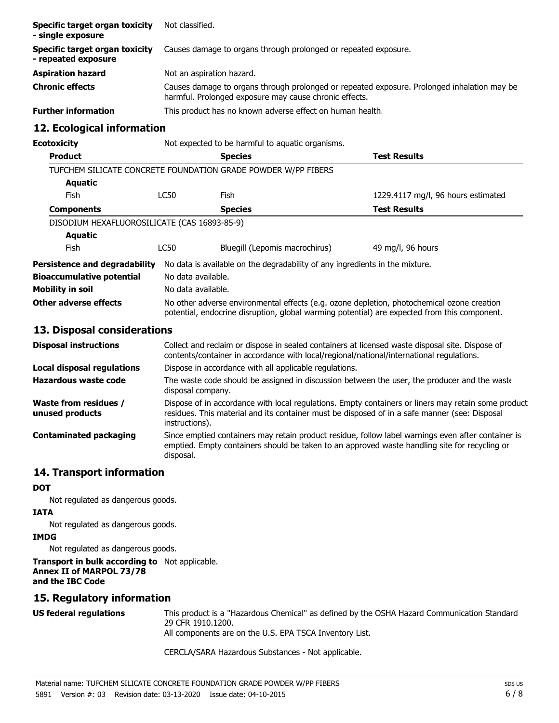| Specific target organ toxicity<br>- single exposure   | Not classified.                                                                                                                                       |
|-------------------------------------------------------|-------------------------------------------------------------------------------------------------------------------------------------------------------|
| Specific target organ toxicity<br>- repeated exposure | Causes damage to organs through prolonged or repeated exposure.                                                                                       |
| <b>Aspiration hazard</b>                              | Not an aspiration hazard.                                                                                                                             |
| <b>Chronic effects</b>                                | Causes damage to organs through prolonged or repeated exposure. Prolonged inhalation may be<br>harmful. Prolonged exposure may cause chronic effects. |
| <b>Further information</b>                            | This product has no known adverse effect on human health.                                                                                             |

## **12. Ecological information**

**Ecotoxicity Not** expected to be harmful to aquatic organisms.

| <b>Product</b>                               |                                                                                                                                                                                            | <b>Species</b>                                                               | <b>Test Results</b>                |
|----------------------------------------------|--------------------------------------------------------------------------------------------------------------------------------------------------------------------------------------------|------------------------------------------------------------------------------|------------------------------------|
|                                              |                                                                                                                                                                                            | TUFCHEM SILICATE CONCRETE FOUNDATION GRADE POWDER W/PP FIBERS                |                                    |
| Aquatic                                      |                                                                                                                                                                                            |                                                                              |                                    |
| <b>Fish</b>                                  | LC50                                                                                                                                                                                       | Fish                                                                         | 1229.4117 mg/l, 96 hours estimated |
| <b>Components</b>                            |                                                                                                                                                                                            | <b>Species</b>                                                               | <b>Test Results</b>                |
| DISODIUM HEXAFLUOROSILICATE (CAS 16893-85-9) |                                                                                                                                                                                            |                                                                              |                                    |
| <b>Aquatic</b>                               |                                                                                                                                                                                            |                                                                              |                                    |
| <b>Fish</b>                                  | <b>LC50</b>                                                                                                                                                                                | Bluegill (Lepomis macrochirus)                                               | 49 mg/l, 96 hours                  |
| Persistence and degradability                |                                                                                                                                                                                            | No data is available on the degradability of any ingredients in the mixture. |                                    |
| <b>Bioaccumulative potential</b>             | No data available.                                                                                                                                                                         |                                                                              |                                    |
| Mobility in soil                             | No data available.                                                                                                                                                                         |                                                                              |                                    |
| Other adverse effects                        | No other adverse environmental effects (e.g. ozone depletion, photochemical ozone creation<br>potential, endocrine disruption, global warming potential) are expected from this component. |                                                                              |                                    |
| 13. Disposal considerations                  |                                                                                                                                                                                            |                                                                              |                                    |
| Disposal instructions                        | Collect and reclaim or dispose in sealed containers at licensed waste disposal site. Dispose of                                                                                            |                                                                              |                                    |

| <b>Disposal instructions</b>                    | Collect and reclaim or dispose in sealed containers at licensed waste disposal site. Dispose of<br>contents/container in accordance with local/regional/national/international regulations.                            |
|-------------------------------------------------|------------------------------------------------------------------------------------------------------------------------------------------------------------------------------------------------------------------------|
| Local disposal regulations                      | Dispose in accordance with all applicable regulations.                                                                                                                                                                 |
| Hazardous waste code                            | The waste code should be assigned in discussion between the user, the producer and the waste<br>disposal company.                                                                                                      |
| <b>Waste from residues /</b><br>unused products | Dispose of in accordance with local regulations. Empty containers or liners may retain some product<br>residues. This material and its container must be disposed of in a safe manner (see: Disposal<br>instructions). |
| <b>Contaminated packaging</b>                   | Since emptied containers may retain product residue, follow label warnings even after container is<br>emptied. Empty containers should be taken to an approved waste handling site for recycling or<br>disposal.       |

## **14. Transport information**

## **DOT**

Not regulated as dangerous goods.

## **IATA**

Not regulated as dangerous goods.

## **IMDG**

Not regulated as dangerous goods.

#### **Transport in bulk according to** Not applicable. **Annex II of MARPOL 73/78 and the IBC Code**

# **15. Regulatory information**

This product is a "Hazardous Chemical" as defined by the OSHA Hazard Communication Standard, 29 CFR 1910.1200. All components are on the U.S. EPA TSCA Inventory List. **US federal regulations**

CERCLA/SARA Hazardous Substances - Not applicable.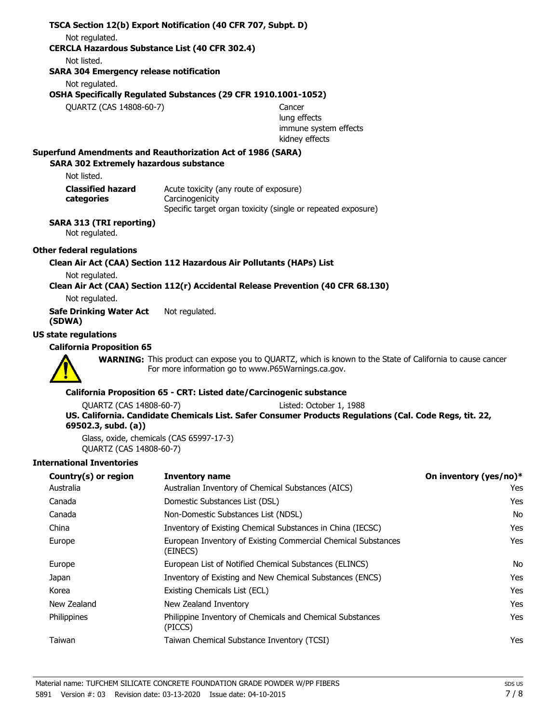## **TSCA Section 12(b) Export Notification (40 CFR 707, Subpt. D)** Not regulated. **CERCLA Hazardous Substance List (40 CFR 302.4)** Not listed. **SARA 304 Emergency release notification** Not regulated. **OSHA Specifically Regulated Substances (29 CFR 1910.1001-1052)** QUARTZ (CAS 14808-60-7) Cancer lung effects immune system effects kidney effects **SARA 302 Extremely hazardous substance Superfund Amendments and Reauthorization Act of 1986 (SARA)** Not listed. Acute toxicity (any route of exposure) **Carcinogenicity** Specific target organ toxicity (single or repeated exposure) **Classified hazard categories SARA 313 (TRI reporting)** Not regulated. **Other federal regulations Clean Air Act (CAA) Section 112 Hazardous Air Pollutants (HAPs) List** Not regulated. **Clean Air Act (CAA) Section 112(r) Accidental Release Prevention (40 CFR 68.130)** Not regulated. **Safe Drinking Water Act** Not regulated. **(SDWA) US state regulations California Proposition 65** WARNING: This product can expose you to QUARTZ, which is known to the State of California to cause cancer. For more information go to www.P65Warnings.ca.gov. **California Proposition 65 - CRT: Listed date/Carcinogenic substance** QUARTZ (CAS 14808-60-7) Listed: October 1, 1988

#### **US. California. Candidate Chemicals List. Safer Consumer Products Regulations (Cal. Code Regs, tit. 22, 69502.3, subd. (a))**

Glass, oxide, chemicals (CAS 65997-17-3) QUARTZ (CAS 14808-60-7)

#### **International Inventories**

| Country(s) or region | Inventory name                                                            | On inventory (yes/no)* |
|----------------------|---------------------------------------------------------------------------|------------------------|
| Australia            | Australian Inventory of Chemical Substances (AICS)                        | Yes                    |
| Canada               | Domestic Substances List (DSL)                                            | <b>Yes</b>             |
| Canada               | Non-Domestic Substances List (NDSL)                                       | No                     |
| China                | Inventory of Existing Chemical Substances in China (IECSC)                | Yes                    |
| Europe               | European Inventory of Existing Commercial Chemical Substances<br>(EINECS) | <b>Yes</b>             |
| Europe               | European List of Notified Chemical Substances (ELINCS)                    | No                     |
| Japan                | Inventory of Existing and New Chemical Substances (ENCS)                  | <b>Yes</b>             |
| Korea                | Existing Chemicals List (ECL)                                             | Yes                    |
| New Zealand          | New Zealand Inventory                                                     | Yes                    |
| Philippines          | Philippine Inventory of Chemicals and Chemical Substances<br>(PICCS)      | Yes                    |
| Taiwan               | Taiwan Chemical Substance Inventory (TCSI)                                | Yes                    |